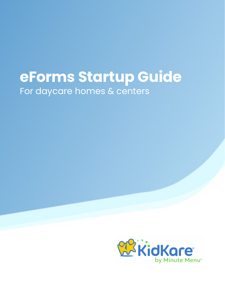## **eForms Startup Guide** For daycare homes & centers

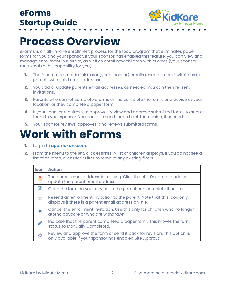

## **Process Overview**

eForms is an all-in-one enrollment process for the food program that eliminates paper forms for you and your sponsor. If your sponsor has enabled this feature, you can view and manage enrollment in KidKare, as well as enroll new children with eForms (your sponsor must enable this capability for you).

- **1.** The food program administrator (your sponsor) emails re-enrollment invitaitons to parents with valid email addresses.
- 2. You add or update parents email addresses, as needed. You can then re-send invitations.
- **3.** Parents who cannot complete eforms online complete the forms ona device at your location, or they complete a paper form.
- 4. If your sponsor requires site approval, review and approve submitted forms to submit them to your sponsor. You can also send forms back for revision, if needed.
- **5.** Your sponsor reviews, approves, and renews submitted forms.

### **Work with eForms**

- 1. Log in to **[app.kidkare.com](https://app.kidkare.com)**.
- 2. From the menu to the left, click **eForms**. A list of children displays. If you do not see a list of children, click Clear Filter to remove any existing filters.

| <b>Icon</b> | <b>Action</b>                                                                                                                         |
|-------------|---------------------------------------------------------------------------------------------------------------------------------------|
| ጅ           | The parent email address is missing. Click the child's name to add or<br>update the parent email address.                             |
| 目           | Open the form on your device so the parent can complete it onsite.                                                                    |
| Ŋ           | Resend an enrollment invitation to the parent. Note that this icon only<br>displays if there is a parent email address on-file.       |
| ×           | Cancel the enrollment invitation. Use this only for children who no longer<br>attend daycare or who are withdrawn.                    |
|             | Indicate that the parent completed a paper form. This moves the form<br>status to Manually Completed.                                 |
| ᠿ           | Review and approve the form or send it back for revision. This option is<br>only available if your sponsor has enabled Site Approval. |